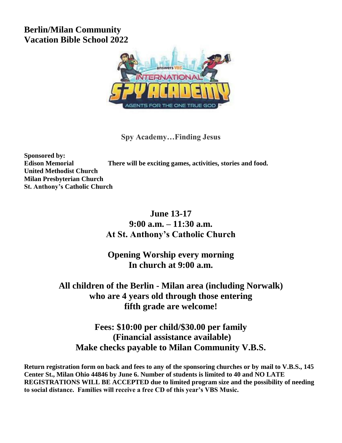## **Berlin/Milan Community Vacation Bible School 2022**



**Spy Academy…Finding Jesus**

**Sponsored by: Edison Memorial There will be exciting games, activities, stories and food. United Methodist Church Milan Presbyterian Church St. Anthony's Catholic Church**

## **June 13-17 9:00 a.m. – 11:30 a.m. At St. Anthony's Catholic Church**

**Opening Worship every morning In church at 9:00 a.m.**

## **All children of the Berlin - Milan area (including Norwalk) who are 4 years old through those entering fifth grade are welcome!**

**Fees: \$10:00 per child/\$30.00 per family (Financial assistance available) Make checks payable to Milan Community V.B.S.**

**Return registration form on back and fees to any of the sponsoring churches or by mail to V.B.S., 145 Center St., Milan Ohio 44846 by June 6. Number of students is limited to 40 and NO LATE REGISTRATIONS WILL BE ACCEPTED due to limited program size and the possibility of needing to social distance. Families will receive a free CD of this year's VBS Music.**